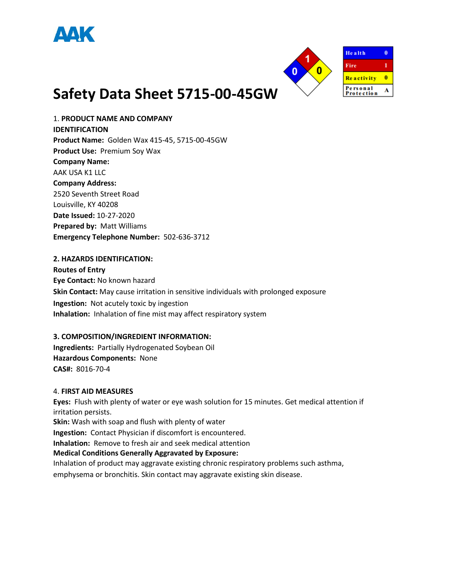



1. **PRODUCT NAME AND COMPANY IDENTIFICATION Product Name:** Golden Wax 415-45, 5715-00-45GW **Product Use:** Premium Soy Wax **Company Name:**  AAK USA K1 LLC **Company Address:**  2520 Seventh Street Road Louisville, KY 40208 **Date Issued:** 10-27-2020 **Prepared by:** Matt Williams **Emergency Telephone Number:** 502-636-3712

#### **2. HAZARDS IDENTIFICATION:**

**Routes of Entry Eye Contact:** No known hazard **Skin Contact:** May cause irritation in sensitive individuals with prolonged exposure **Ingestion:** Not acutely toxic by ingestion **Inhalation:** Inhalation of fine mist may affect respiratory system

#### **3. COMPOSITION/INGREDIENT INFORMATION:**

**Ingredients:** Partially Hydrogenated Soybean Oil **Hazardous Components:** None **CAS#:** 8016-70-4

#### 4. **FIRST AID MEASURES**

**Eyes:** Flush with plenty of water or eye wash solution for 15 minutes. Get medical attention if irritation persists. **Skin:** Wash with soap and flush with plenty of water **Ingestion:** Contact Physician if discomfort is encountered. **Inhalation:** Remove to fresh air and seek medical attention **Medical Conditions Generally Aggravated by Exposure:**  Inhalation of product may aggravate existing chronic respiratory problems such asthma, emphysema or bronchitis. Skin contact may aggravate existing skin disease.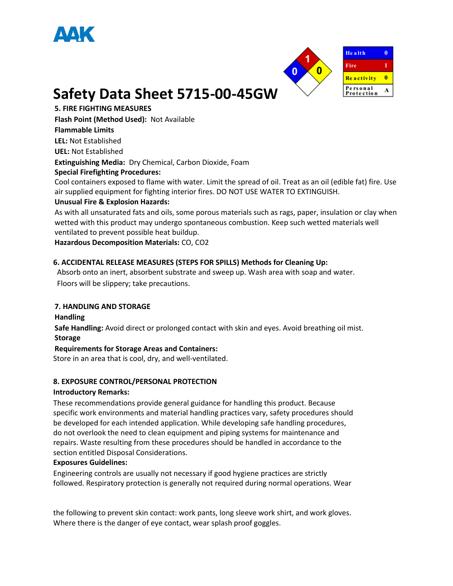



**5. FIRE FIGHTING MEASURES** 

**Flash Point (Method Used):** Not Available

## **Flammable Limits**

**LEL:** Not Established

**UEL:** Not Established

**Extinguishing Media:** Dry Chemical, Carbon Dioxide, Foam

### **Special Firefighting Procedures:**

Cool containers exposed to flame with water. Limit the spread of oil. Treat as an oil (edible fat) fire. Use air supplied equipment for fighting interior fires. DO NOT USE WATER TO EXTINGUISH.

## **Unusual Fire & Explosion Hazards:**

As with all unsaturated fats and oils, some porous materials such as rags, paper, insulation or clay when wetted with this product may undergo spontaneous combustion. Keep such wetted materials well ventilated to prevent possible heat buildup.

**Hazardous Decomposition Materials:** CO, CO2

## **6. ACCIDENTAL RELEASE MEASURES (STEPS FOR SPILLS) Methods for Cleaning Up:**

Absorb onto an inert, absorbent substrate and sweep up. Wash area with soap and water. Floors will be slippery; take precautions.

## **7. HANDLING AND STORAGE**

#### **Handling**

**Safe Handling:** Avoid direct or prolonged contact with skin and eyes. Avoid breathing oil mist. **Storage** 

#### **Requirements for Storage Areas and Containers:**

Store in an area that is cool, dry, and well-ventilated.

## **8. EXPOSURE CONTROL/PERSONAL PROTECTION**

#### **Introductory Remarks:**

These recommendations provide general guidance for handling this product. Because specific work environments and material handling practices vary, safety procedures should be developed for each intended application. While developing safe handling procedures, do not overlook the need to clean equipment and piping systems for maintenance and repairs. Waste resulting from these procedures should be handled in accordance to the section entitled Disposal Considerations.

#### **Exposures Guidelines:**

Engineering controls are usually not necessary if good hygiene practices are strictly followed. Respiratory protection is generally not required during normal operations. Wear

the following to prevent skin contact: work pants, long sleeve work shirt, and work gloves. Where there is the danger of eye contact, wear splash proof goggles.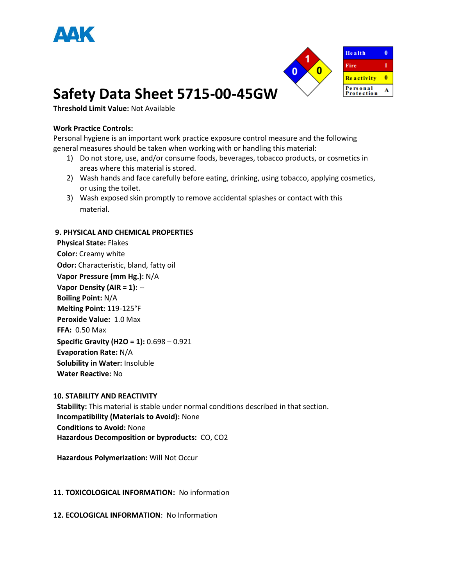



**Threshold Limit Value:** Not Available

#### **Work Practice Controls:**

Personal hygiene is an important work practice exposure control measure and the following general measures should be taken when working with or handling this material:

- 1) Do not store, use, and/or consume foods, beverages, tobacco products, or cosmetics in areas where this material is stored.
- 2) Wash hands and face carefully before eating, drinking, using tobacco, applying cosmetics, or using the toilet.
- 3) Wash exposed skin promptly to remove accidental splashes or contact with this material.

#### **9. PHYSICAL AND CHEMICAL PROPERTIES**

**Physical State:** Flakes **Color:** Creamy white **Odor:** Characteristic, bland, fatty oil **Vapor Pressure (mm Hg.):** N/A **Vapor Density (AIR = 1):** -- **Boiling Point:** N/A **Melting Point:** 119-125°F **Peroxide Value:** 1.0 Max **FFA:** 0.50 Max **Specific Gravity (H2O = 1):** 0.698 – 0.921 **Evaporation Rate:** N/A **Solubility in Water:** Insoluble **Water Reactive:** No

#### **10. STABILITY AND REACTIVITY**

 **Stability:** This material is stable under normal conditions described in that section.  **Incompatibility (Materials to Avoid):** None  **Conditions to Avoid:** None **Hazardous Decomposition or byproducts:** CO, CO2

 **Hazardous Polymerization:** Will Not Occur

#### **11. TOXICOLOGICAL INFORMATION:** No information

**12. ECOLOGICAL INFORMATION**: No Information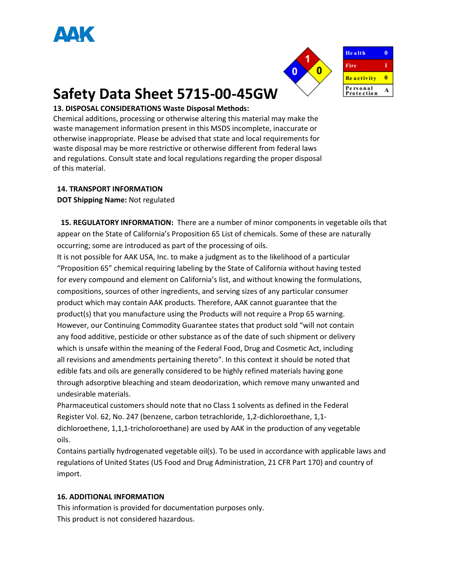



 $\overline{\mathbf{0}}$ 

1

 $\overline{\mathbf{0}}$ 

A

## **Safety Data Sheet 5715-00-45GW**

## **13. DISPOSAL CONSIDERATIONS Waste Disposal Methods:**

Chemical additions, processing or otherwise altering this material may make the waste management information present in this MSDS incomplete, inaccurate or otherwise inappropriate. Please be advised that state and local requirements for waste disposal may be more restrictive or otherwise different from federal laws and regulations. Consult state and local regulations regarding the proper disposal of this material.

#### **14. TRANSPORT INFORMATION**

**DOT Shipping Name:** Not regulated

**15. REGULATORY INFORMATION:** There are a number of minor components in vegetable oils that appear on the State of California's Proposition 65 List of chemicals. Some of these are naturally occurring; some are introduced as part of the processing of oils.

It is not possible for AAK USA, Inc. to make a judgment as to the likelihood of a particular "Proposition 65" chemical requiring labeling by the State of California without having tested for every compound and element on California's list, and without knowing the formulations, compositions, sources of other ingredients, and serving sizes of any particular consumer product which may contain AAK products. Therefore, AAK cannot guarantee that the product(s) that you manufacture using the Products will not require a Prop 65 warning. However, our Continuing Commodity Guarantee states that product sold "will not contain any food additive, pesticide or other substance as of the date of such shipment or delivery which is unsafe within the meaning of the Federal Food, Drug and Cosmetic Act, including all revisions and amendments pertaining thereto". In this context it should be noted that edible fats and oils are generally considered to be highly refined materials having gone through adsorptive bleaching and steam deodorization, which remove many unwanted and undesirable materials.

Pharmaceutical customers should note that no Class 1 solvents as defined in the Federal Register Vol. 62, No. 247 (benzene, carbon tetrachloride, 1,2-dichloroethane, 1,1 dichloroethene, 1,1,1-tricholoroethane) are used by AAK in the production of any vegetable oils.

Contains partially hydrogenated vegetable oil(s). To be used in accordance with applicable laws and regulations of United States (US Food and Drug Administration, 21 CFR Part 170) and country of import.

#### **16. ADDITIONAL INFORMATION**

This information is provided for documentation purposes only. This product is not considered hazardous.